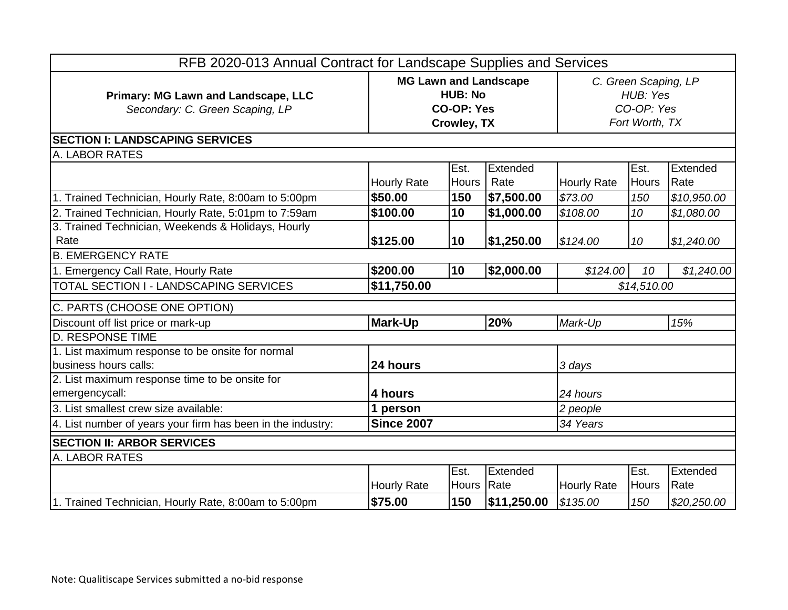| RFB 2020-013 Annual Contract for Landscape Supplies and Services          |                                                                                    |                      |                  |                                                                  |                      |                  |  |
|---------------------------------------------------------------------------|------------------------------------------------------------------------------------|----------------------|------------------|------------------------------------------------------------------|----------------------|------------------|--|
| Primary: MG Lawn and Landscape, LLC<br>Secondary: C. Green Scaping, LP    | <b>MG Lawn and Landscape</b><br><b>HUB: No</b><br><b>CO-OP: Yes</b><br>Crowley, TX |                      |                  | C. Green Scaping, LP<br>HUB: Yes<br>CO-OP: Yes<br>Fort Worth, TX |                      |                  |  |
| <b>SECTION I: LANDSCAPING SERVICES</b>                                    |                                                                                    |                      |                  |                                                                  |                      |                  |  |
| A. LABOR RATES                                                            |                                                                                    |                      |                  |                                                                  |                      |                  |  |
|                                                                           | <b>Hourly Rate</b>                                                                 | Est.<br><b>Hours</b> | Extended<br>Rate | <b>Hourly Rate</b>                                               | Est.<br><b>Hours</b> | Extended<br>Rate |  |
| 1. Trained Technician, Hourly Rate, 8:00am to 5:00pm                      | \$50.00                                                                            | 150                  | \$7,500.00       | \$73.00                                                          | 150                  | \$10,950.00      |  |
| 2. Trained Technician, Hourly Rate, 5:01pm to 7:59am                      | \$100.00                                                                           | 10                   | \$1,000.00       | \$108.00                                                         | 10                   | \$1,080.00       |  |
| 3. Trained Technician, Weekends & Holidays, Hourly<br>Rate                | \$125.00                                                                           | 10                   | \$1,250.00       | \$124.00                                                         | 10                   | \$1,240.00       |  |
| <b>B. EMERGENCY RATE</b>                                                  |                                                                                    |                      |                  |                                                                  |                      |                  |  |
| 1. Emergency Call Rate, Hourly Rate                                       | \$200.00                                                                           | 10                   | \$2,000.00       | \$124.00                                                         | 10                   | \$1,240.00       |  |
| TOTAL SECTION I - LANDSCAPING SERVICES                                    | \$11,750.00                                                                        |                      | \$14,510.00      |                                                                  |                      |                  |  |
| C. PARTS (CHOOSE ONE OPTION)                                              |                                                                                    |                      |                  |                                                                  |                      |                  |  |
| Discount off list price or mark-up                                        | <b>Mark-Up</b>                                                                     |                      | 20%              | Mark-Up                                                          |                      | 15%              |  |
| <b>D. RESPONSE TIME</b>                                                   |                                                                                    |                      |                  |                                                                  |                      |                  |  |
| 1. List maximum response to be onsite for normal<br>business hours calls: | 24 hours                                                                           |                      |                  | 3 days                                                           |                      |                  |  |
| 2. List maximum response time to be onsite for<br>emergencycall:          | 4 hours                                                                            |                      |                  | 24 hours                                                         |                      |                  |  |
| 3. List smallest crew size available:                                     | 1 person                                                                           |                      |                  | 2 people                                                         |                      |                  |  |
| 4. List number of years your firm has been in the industry:               | <b>Since 2007</b>                                                                  |                      |                  | 34 Years                                                         |                      |                  |  |
| <b>SECTION II: ARBOR SERVICES</b>                                         |                                                                                    |                      |                  |                                                                  |                      |                  |  |
| A. LABOR RATES                                                            |                                                                                    |                      |                  |                                                                  |                      |                  |  |
|                                                                           | <b>Hourly Rate</b>                                                                 | Est.<br><b>Hours</b> | Extended<br>Rate | <b>Hourly Rate</b>                                               | Est.<br><b>Hours</b> | Extended<br>Rate |  |
| 1. Trained Technician, Hourly Rate, 8:00am to 5:00pm                      | \$75.00                                                                            | 150                  | \$11,250.00      | \$135.00                                                         | 150                  | \$20,250.00      |  |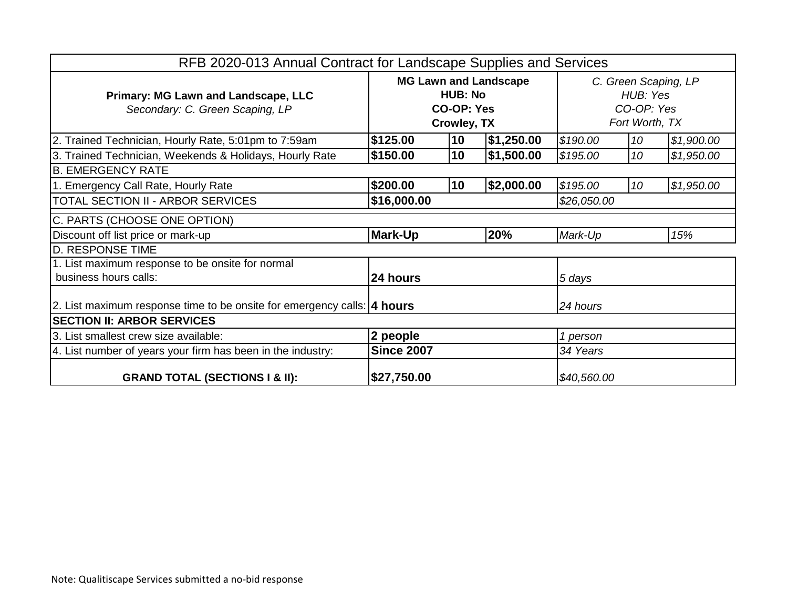| RFB 2020-013 Annual Contract for Landscape Supplies and Services               |                                                                                           |    |            |                                                                  |    |            |
|--------------------------------------------------------------------------------|-------------------------------------------------------------------------------------------|----|------------|------------------------------------------------------------------|----|------------|
| Primary: MG Lawn and Landscape, LLC<br>Secondary: C. Green Scaping, LP         | <b>MG Lawn and Landscape</b><br><b>HUB: No</b><br><b>CO-OP: Yes</b><br><b>Crowley, TX</b> |    |            | C. Green Scaping, LP<br>HUB: Yes<br>CO-OP: Yes<br>Fort Worth, TX |    |            |
| 2. Trained Technician, Hourly Rate, 5:01pm to 7:59am                           | \$125.00                                                                                  | 10 | \$1,250.00 | \$190.00                                                         | 10 | \$1,900.00 |
| 3. Trained Technician, Weekends & Holidays, Hourly Rate                        | \$150.00                                                                                  | 10 | \$1,500.00 | \$195.00                                                         | 10 | \$1,950.00 |
| <b>B. EMERGENCY RATE</b>                                                       |                                                                                           |    |            |                                                                  |    |            |
| 1. Emergency Call Rate, Hourly Rate                                            | \$200.00                                                                                  | 10 | \$2,000.00 | \$195.00                                                         | 10 | \$1,950.00 |
| <b>TOTAL SECTION II - ARBOR SERVICES</b>                                       | \$16,000.00                                                                               |    |            | \$26,050.00                                                      |    |            |
| C. PARTS (CHOOSE ONE OPTION)                                                   |                                                                                           |    |            |                                                                  |    |            |
| Discount off list price or mark-up                                             | <b>Mark-Up</b>                                                                            |    | 20%        | Mark-Up                                                          |    | 15%        |
| <b>D. RESPONSE TIME</b>                                                        |                                                                                           |    |            |                                                                  |    |            |
| 1. List maximum response to be onsite for normal                               |                                                                                           |    |            |                                                                  |    |            |
| business hours calls:                                                          | 24 hours                                                                                  |    |            | 5 days                                                           |    |            |
| 2. List maximum response time to be onsite for emergency calls: <b>4 hours</b> |                                                                                           |    |            | 24 hours                                                         |    |            |
| <b>SECTION II: ARBOR SERVICES</b>                                              |                                                                                           |    |            |                                                                  |    |            |
| 3. List smallest crew size available:                                          | 2 people                                                                                  |    |            | 1 person                                                         |    |            |
| 4. List number of years your firm has been in the industry:                    | <b>Since 2007</b>                                                                         |    |            | 34 Years                                                         |    |            |
| <b>GRAND TOTAL (SECTIONS I &amp; II):</b>                                      | \$27,750.00                                                                               |    |            | \$40,560.00                                                      |    |            |